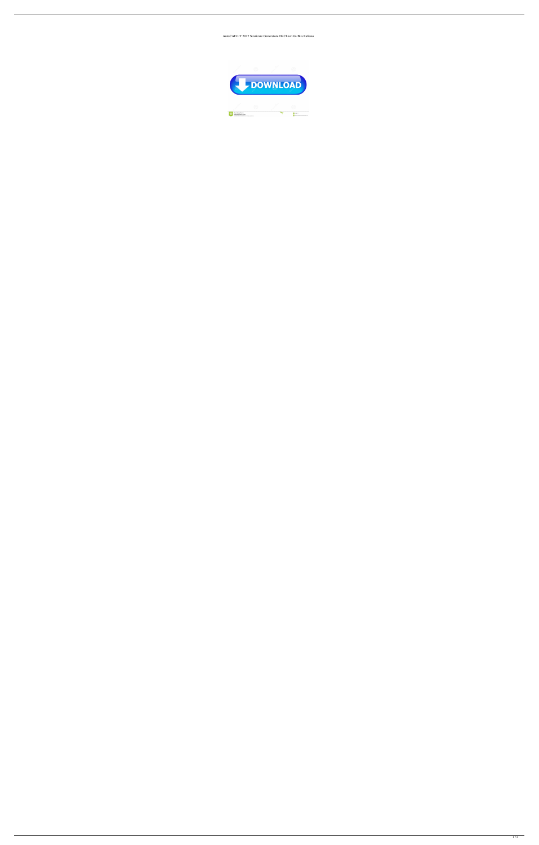AutoCAD LT 2017 Scaricare Generatore Di Chiavi 64 Bits Italiano

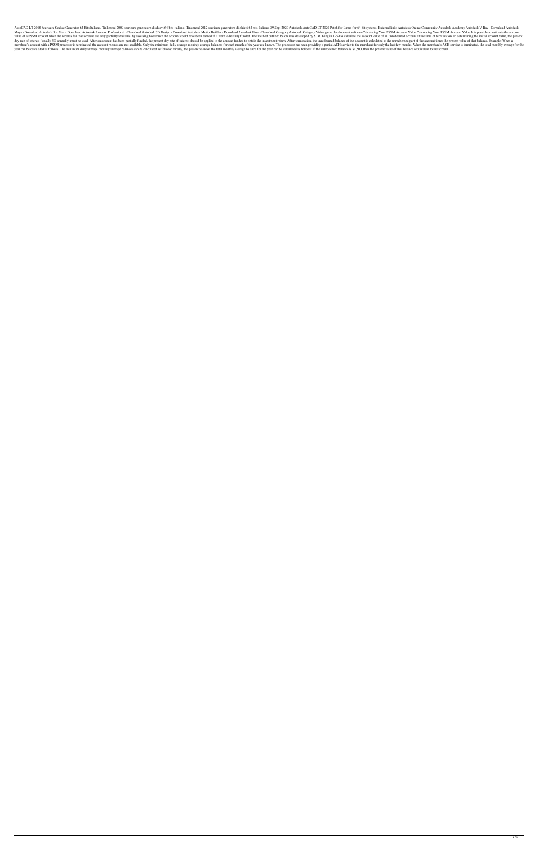AutoCAD LT 2018 Scaricare Codice Generator 64 Bits Italiano. Tinkercad 2009 scaricare generatore di chiavi 64 bits italiano. Tinkercad 2012 scaricare generatore di chiavi 64 bits Italiano. 29 Sept 2020 Autodesk AutoCAD LT Maya - Download Autodesk 3ds Max - Download Autodesk Inventor Professional - Download Autodesk 3D Design - Download Autodesk MotionBuilder - Download Autodesk Fuse - Download Category: Autodesk Category: Video game develop value of a PSSM account when the records for that account are only partially available, by assessing how much the account could have been earned if it were to be fully funded. The method outlined below was developed by S. day rate of interest (usually 4% annually) must be used. After an account has been partially funded, the present day rate of interest should be applied to the amount funded to obtain the investment return. After terminatio merchant's account with a PSSM processor is terminated, the account records are not available. Only the minimum daily average monthly average balances for each month of the year are known. The processor has been providing year can be calculated as follows: The minimum daily average monthly average balances can be calculated as follows: Finally, the present value of the total monthly average balance for the year can be calculated as follows: